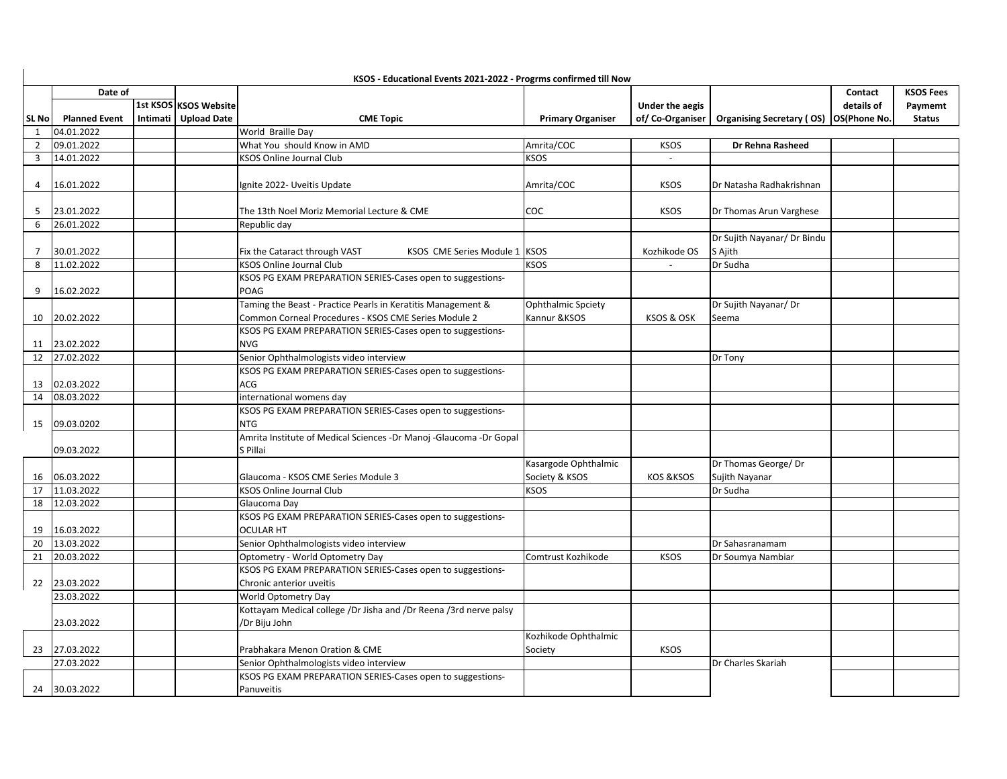|                                  | KSOS - Educational Events 2021-2022 - Progrms confirmed till Now |          |                       |                                                                                        |                           |                       |                                        |            |                  |
|----------------------------------|------------------------------------------------------------------|----------|-----------------------|----------------------------------------------------------------------------------------|---------------------------|-----------------------|----------------------------------------|------------|------------------|
|                                  | Date of                                                          |          |                       |                                                                                        |                           |                       |                                        | Contact    | <b>KSOS Fees</b> |
|                                  |                                                                  |          | 1st KSOS KSOS Website |                                                                                        |                           | Under the aegis       |                                        | details of | Paymemt          |
| SL No                            | <b>Planned Event</b>                                             | Intimati | <b>Upload Date</b>    | <b>CME Topic</b>                                                                       | <b>Primary Organiser</b>  | of/Co-Organiser       | Organising Secretary (OS) OS(Phone No. |            | <b>Status</b>    |
| $\mathbf{1}$                     | 04.01.2022                                                       |          |                       | World Braille Day                                                                      |                           |                       |                                        |            |                  |
| $\overline{2}$<br>$\overline{3}$ | 09.01.2022<br>14.01.2022                                         |          |                       | What You should Know in AMD<br><b>KSOS Online Journal Club</b>                         | Amrita/COC<br><b>KSOS</b> | <b>KSOS</b><br>$\sim$ | <b>Dr Rehna Rasheed</b>                |            |                  |
|                                  |                                                                  |          |                       |                                                                                        |                           |                       |                                        |            |                  |
| 4                                | 16.01.2022                                                       |          |                       | Ignite 2022- Uveitis Update                                                            | Amrita/COC                | <b>KSOS</b>           | Dr Natasha Radhakrishnan               |            |                  |
| 5                                | 23.01.2022                                                       |          |                       | The 13th Noel Moriz Memorial Lecture & CME                                             | COC                       | <b>KSOS</b>           | Dr Thomas Arun Varghese                |            |                  |
| 6                                | 26.01.2022                                                       |          |                       | Republic day                                                                           |                           |                       |                                        |            |                  |
| $\overline{7}$                   | 30.01.2022                                                       |          |                       | Fix the Cataract through VAST<br>KSOS CME Series Module 1 KSOS                         |                           | Kozhikode OS          | Dr Sujith Nayanar/ Dr Bindu<br>S Ajith |            |                  |
| 8                                | 11.02.2022                                                       |          |                       | <b>KSOS Online Journal Club</b>                                                        | <b>KSOS</b>               | $\sim$                | Dr Sudha                               |            |                  |
| 9                                | 16.02.2022                                                       |          |                       | KSOS PG EXAM PREPARATION SERIES-Cases open to suggestions-<br>POAG                     |                           |                       |                                        |            |                  |
|                                  |                                                                  |          |                       | Taming the Beast - Practice Pearls in Keratitis Management &                           | Ophthalmic Spciety        |                       | Dr Sujith Nayanar/ Dr                  |            |                  |
| 10                               | 20.02.2022                                                       |          |                       | Common Corneal Procedures - KSOS CME Series Module 2                                   | Kannur &KSOS              | <b>KSOS &amp; OSK</b> | Seema                                  |            |                  |
| 11                               | 23.02.2022                                                       |          |                       | KSOS PG EXAM PREPARATION SERIES-Cases open to suggestions-<br><b>NVG</b>               |                           |                       |                                        |            |                  |
| 12                               | 27.02.2022                                                       |          |                       | Senior Ophthalmologists video interview                                                |                           |                       | Dr Tony                                |            |                  |
| 13                               | 02.03.2022                                                       |          |                       | KSOS PG EXAM PREPARATION SERIES-Cases open to suggestions-<br><b>ACG</b>               |                           |                       |                                        |            |                  |
| 14                               | 08.03.2022                                                       |          |                       | international womens day                                                               |                           |                       |                                        |            |                  |
| 15                               | 09.03.0202                                                       |          |                       | KSOS PG EXAM PREPARATION SERIES-Cases open to suggestions-<br><b>NTG</b>               |                           |                       |                                        |            |                  |
|                                  | 09.03.2022                                                       |          |                       | Amrita Institute of Medical Sciences -Dr Manoj -Glaucoma -Dr Gopal<br>S Pillai         |                           |                       |                                        |            |                  |
|                                  |                                                                  |          |                       |                                                                                        | Kasargode Ophthalmic      |                       | Dr Thomas George/Dr                    |            |                  |
| 16                               | 06.03.2022                                                       |          |                       | Glaucoma - KSOS CME Series Module 3                                                    | Society & KSOS            | <b>KOS &amp;KSOS</b>  | Sujith Nayanar                         |            |                  |
| 17                               | 11.03.2022                                                       |          |                       | <b>KSOS Online Journal Club</b>                                                        | <b>KSOS</b>               |                       | Dr Sudha                               |            |                  |
| 18                               | 12.03.2022                                                       |          |                       | Glaucoma Day                                                                           |                           |                       |                                        |            |                  |
| 19                               | 16.03.2022                                                       |          |                       | KSOS PG EXAM PREPARATION SERIES-Cases open to suggestions-<br><b>OCULAR HT</b>         |                           |                       |                                        |            |                  |
| 20                               | 13.03.2022                                                       |          |                       | Senior Ophthalmologists video interview                                                |                           |                       | Dr Sahasranamam                        |            |                  |
| 21                               | 20.03.2022                                                       |          |                       | Optometry - World Optometry Day                                                        | Comtrust Kozhikode        | <b>KSOS</b>           | Dr Soumya Nambiar                      |            |                  |
| 22                               | 23.03.2022                                                       |          |                       | KSOS PG EXAM PREPARATION SERIES-Cases open to suggestions-<br>Chronic anterior uveitis |                           |                       |                                        |            |                  |
|                                  | 23.03.2022                                                       |          |                       | <b>World Optometry Day</b>                                                             |                           |                       |                                        |            |                  |
|                                  |                                                                  |          |                       | Kottayam Medical college /Dr Jisha and /Dr Reena /3rd nerve palsy                      |                           |                       |                                        |            |                  |
|                                  | 23.03.2022                                                       |          |                       | /Dr Biju John                                                                          |                           |                       |                                        |            |                  |
|                                  |                                                                  |          |                       |                                                                                        | Kozhikode Ophthalmic      |                       |                                        |            |                  |
| 23                               | 27.03.2022                                                       |          |                       | Prabhakara Menon Oration & CME                                                         | Society                   | <b>KSOS</b>           |                                        |            |                  |
|                                  | 27.03.2022                                                       |          |                       | Senior Ophthalmologists video interview                                                |                           |                       | Dr Charles Skariah                     |            |                  |
|                                  | 24 30.03.2022                                                    |          |                       | KSOS PG EXAM PREPARATION SERIES-Cases open to suggestions-<br>Panuveitis               |                           |                       |                                        |            |                  |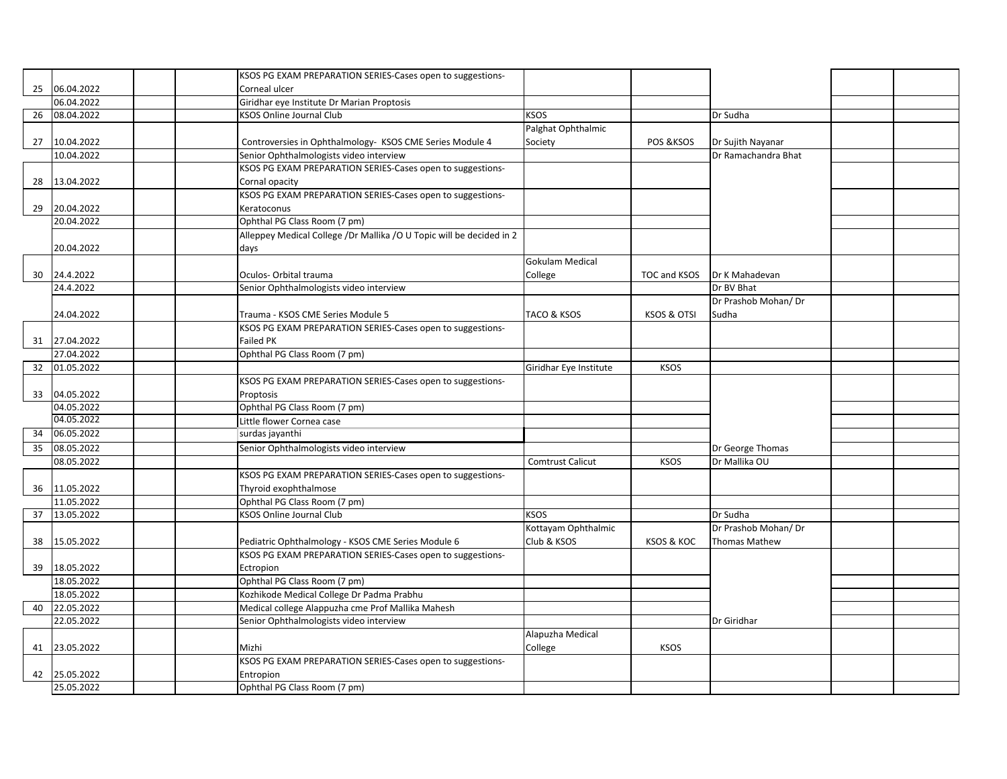|    |            | KSOS PG EXAM PREPARATION SERIES-Cases open to suggestions-              |                         |                        |                      |  |
|----|------------|-------------------------------------------------------------------------|-------------------------|------------------------|----------------------|--|
| 25 | 06.04.2022 | Corneal ulcer                                                           |                         |                        |                      |  |
|    | 06.04.2022 | Giridhar eye Institute Dr Marian Proptosis                              |                         |                        |                      |  |
| 26 | 08.04.2022 | KSOS Online Journal Club                                                | <b>KSOS</b>             |                        | Dr Sudha             |  |
|    |            |                                                                         | Palghat Ophthalmic      |                        |                      |  |
| 27 | 10.04.2022 | Controversies in Ophthalmology- KSOS CME Series Module 4                | Society                 | POS & KSOS             | Dr Sujith Nayanar    |  |
|    | 10.04.2022 | Senior Ophthalmologists video interview                                 |                         |                        | Dr Ramachandra Bhat  |  |
|    |            | KSOS PG EXAM PREPARATION SERIES-Cases open to suggestions-              |                         |                        |                      |  |
| 28 | 13.04.2022 | Cornal opacity                                                          |                         |                        |                      |  |
|    |            | KSOS PG EXAM PREPARATION SERIES-Cases open to suggestions-              |                         |                        |                      |  |
| 29 | 20.04.2022 | Keratoconus                                                             |                         |                        |                      |  |
|    | 20.04.2022 | Ophthal PG Class Room (7 pm)                                            |                         |                        |                      |  |
|    |            | Alleppey Medical College /Dr Mallika /O U Topic will be decided in 2    |                         |                        |                      |  |
|    | 20.04.2022 | days                                                                    |                         |                        |                      |  |
|    |            |                                                                         | Gokulam Medical         |                        |                      |  |
| 30 | 24.4.2022  | Oculos-Orbital trauma                                                   | College                 | TOC and KSOS           | Dr K Mahadevan       |  |
|    | 24.4.2022  | Senior Ophthalmologists video interview                                 |                         |                        | Dr BV Bhat           |  |
|    |            |                                                                         |                         |                        | Dr Prashob Mohan/ Dr |  |
|    | 24.04.2022 | Trauma - KSOS CME Series Module 5                                       | TACO & KSOS             | <b>KSOS &amp; OTSI</b> | Sudha                |  |
|    | 27.04.2022 | KSOS PG EXAM PREPARATION SERIES-Cases open to suggestions-<br>Failed PK |                         |                        |                      |  |
| 31 | 27.04.2022 | Ophthal PG Class Room (7 pm)                                            |                         |                        |                      |  |
| 32 | 01.05.2022 |                                                                         | Giridhar Eye Institute  | <b>KSOS</b>            |                      |  |
|    |            | KSOS PG EXAM PREPARATION SERIES-Cases open to suggestions-              |                         |                        |                      |  |
| 33 | 04.05.2022 | Proptosis                                                               |                         |                        |                      |  |
|    | 04.05.2022 | Ophthal PG Class Room (7 pm)                                            |                         |                        |                      |  |
|    | 04.05.2022 | Little flower Cornea case                                               |                         |                        |                      |  |
| 34 | 06.05.2022 | surdas jayanthi                                                         |                         |                        |                      |  |
| 35 | 08.05.2022 | Senior Ophthalmologists video interview                                 |                         |                        | Dr George Thomas     |  |
|    | 08.05.2022 |                                                                         | <b>Comtrust Calicut</b> | <b>KSOS</b>            | Dr Mallika OU        |  |
|    |            | KSOS PG EXAM PREPARATION SERIES-Cases open to suggestions-              |                         |                        |                      |  |
| 36 | 11.05.2022 | Thyroid exophthalmose                                                   |                         |                        |                      |  |
|    | 11.05.2022 | Ophthal PG Class Room (7 pm)                                            |                         |                        |                      |  |
| 37 | 13.05.2022 | KSOS Online Journal Club                                                | <b>KSOS</b>             |                        | Dr Sudha             |  |
|    |            |                                                                         | Kottayam Ophthalmic     |                        | Dr Prashob Mohan/ Dr |  |
| 38 | 15.05.2022 | Pediatric Ophthalmology - KSOS CME Series Module 6                      | Club & KSOS             | KSOS & KOC             | <b>Thomas Mathew</b> |  |
|    |            | KSOS PG EXAM PREPARATION SERIES-Cases open to suggestions-              |                         |                        |                      |  |
| 39 | 18.05.2022 | Ectropion                                                               |                         |                        |                      |  |
|    | 18.05.2022 | Ophthal PG Class Room (7 pm)                                            |                         |                        |                      |  |
|    | 18.05.2022 | Kozhikode Medical College Dr Padma Prabhu                               |                         |                        |                      |  |
| 40 | 22.05.2022 | Medical college Alappuzha cme Prof Mallika Mahesh                       |                         |                        |                      |  |
|    | 22.05.2022 | Senior Ophthalmologists video interview                                 |                         |                        | Dr Giridhar          |  |
|    |            |                                                                         | Alapuzha Medical        |                        |                      |  |
| 41 | 23.05.2022 | Mizhi                                                                   | College                 | <b>KSOS</b>            |                      |  |
|    |            | KSOS PG EXAM PREPARATION SERIES-Cases open to suggestions-              |                         |                        |                      |  |
| 42 | 25.05.2022 | Entropion                                                               |                         |                        |                      |  |
|    | 25.05.2022 | Ophthal PG Class Room (7 pm)                                            |                         |                        |                      |  |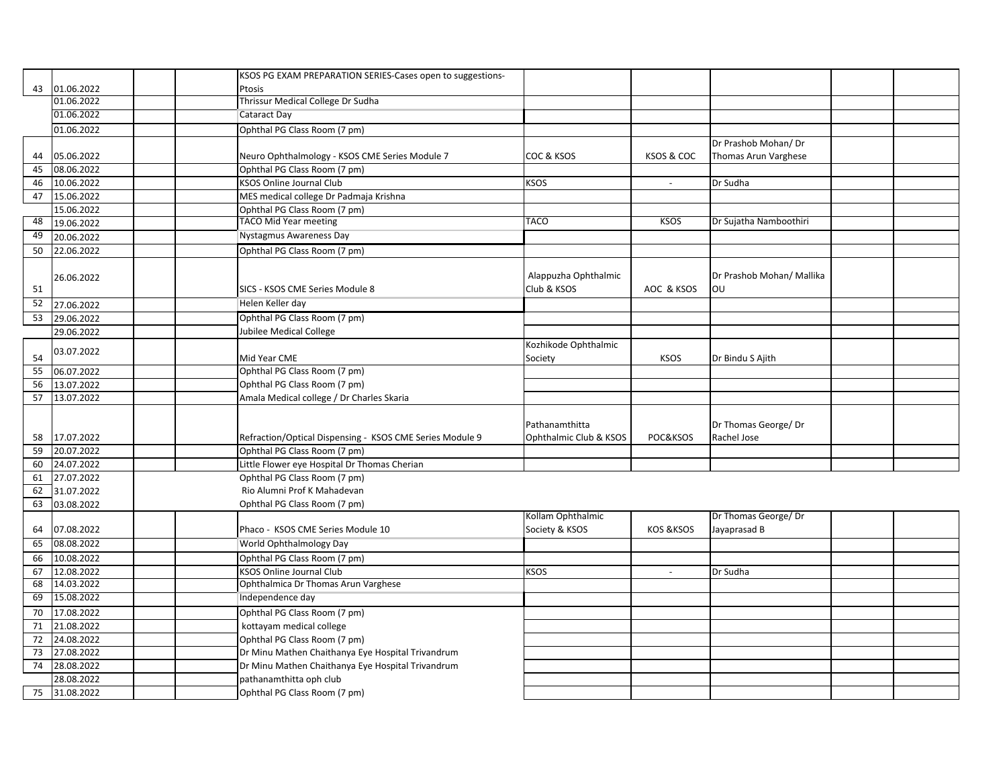|    |            |                                   | KSOS PG EXAM PREPARATION SERIES-Cases open to suggestions- |                        |                      |                             |  |
|----|------------|-----------------------------------|------------------------------------------------------------|------------------------|----------------------|-----------------------------|--|
| 43 | 01.06.2022 | Ptosis                            |                                                            |                        |                      |                             |  |
|    | 01.06.2022 | Thrissur Medical College Dr Sudha |                                                            |                        |                      |                             |  |
|    | 01.06.2022 | Cataract Day                      |                                                            |                        |                      |                             |  |
|    | 01.06.2022 | Ophthal PG Class Room (7 pm)      |                                                            |                        |                      |                             |  |
|    |            |                                   |                                                            |                        |                      | Dr Prashob Mohan/ Dr        |  |
| 44 | 05.06.2022 |                                   | Neuro Ophthalmology - KSOS CME Series Module 7             | COC & KSOS             | KSOS & COC           | <b>Thomas Arun Varghese</b> |  |
| 45 | 08.06.2022 | Ophthal PG Class Room (7 pm)      |                                                            |                        |                      |                             |  |
| 46 | 10.06.2022 | KSOS Online Journal Club          |                                                            | <b>KSOS</b>            | $\sim$               | Dr Sudha                    |  |
| 47 | 15.06.2022 |                                   | MES medical college Dr Padmaja Krishna                     |                        |                      |                             |  |
|    | 15.06.2022 | Ophthal PG Class Room (7 pm)      |                                                            |                        |                      |                             |  |
| 48 | 19.06.2022 | <b>TACO Mid Year meeting</b>      |                                                            | TACO                   | <b>KSOS</b>          | Dr Sujatha Namboothiri      |  |
| 49 | 20.06.2022 | Nystagmus Awareness Day           |                                                            |                        |                      |                             |  |
| 50 | 22.06.2022 | Ophthal PG Class Room (7 pm)      |                                                            |                        |                      |                             |  |
|    |            |                                   |                                                            |                        |                      |                             |  |
|    | 26.06.2022 |                                   |                                                            | Alappuzha Ophthalmic   |                      | Dr Prashob Mohan/ Mallika   |  |
| 51 |            | SICS - KSOS CME Series Module 8   |                                                            | Club & KSOS            | AOC & KSOS           | OU                          |  |
| 52 | 27.06.2022 | Helen Keller day                  |                                                            |                        |                      |                             |  |
| 53 | 29.06.2022 | Ophthal PG Class Room (7 pm)      |                                                            |                        |                      |                             |  |
|    | 29.06.2022 | lubilee Medical College           |                                                            |                        |                      |                             |  |
|    |            |                                   |                                                            | Kozhikode Ophthalmic   |                      |                             |  |
| 54 | 03.07.2022 | Mid Year CME                      |                                                            | Society                | <b>KSOS</b>          | Dr Bindu S Ajith            |  |
| 55 | 06.07.2022 | Ophthal PG Class Room (7 pm)      |                                                            |                        |                      |                             |  |
| 56 | 13.07.2022 | Ophthal PG Class Room (7 pm)      |                                                            |                        |                      |                             |  |
| 57 | 13.07.2022 |                                   | Amala Medical college / Dr Charles Skaria                  |                        |                      |                             |  |
|    |            |                                   |                                                            |                        |                      |                             |  |
|    |            |                                   |                                                            | Pathanamthitta         |                      | Dr Thomas George/ Dr        |  |
| 58 | 17.07.2022 |                                   | Refraction/Optical Dispensing - KSOS CME Series Module 9   | Ophthalmic Club & KSOS | POC&KSOS             | Rachel Jose                 |  |
| 59 | 20.07.2022 | Ophthal PG Class Room (7 pm)      |                                                            |                        |                      |                             |  |
| 60 | 24.07.2022 |                                   | Little Flower eye Hospital Dr Thomas Cherian               |                        |                      |                             |  |
| 61 | 27.07.2022 | Ophthal PG Class Room (7 pm)      |                                                            |                        |                      |                             |  |
| 62 | 31.07.2022 | Rio Alumni Prof K Mahadevan       |                                                            |                        |                      |                             |  |
| 63 | 03.08.2022 | Ophthal PG Class Room (7 pm)      |                                                            |                        |                      |                             |  |
|    |            |                                   |                                                            | Kollam Ophthalmic      |                      | Dr Thomas George/ Dr        |  |
| 64 | 07.08.2022 | Phaco - KSOS CME Series Module 10 |                                                            | Society & KSOS         | <b>KOS &amp;KSOS</b> | Jayaprasad B                |  |
| 65 | 08.08.2022 | World Ophthalmology Day           |                                                            |                        |                      |                             |  |
| 66 | 10.08.2022 | Ophthal PG Class Room (7 pm)      |                                                            |                        |                      |                             |  |
| 67 | 12.08.2022 | KSOS Online Journal Club          |                                                            | <b>KSOS</b>            | $\sim$               | Dr Sudha                    |  |
| 68 | 14.03.2022 |                                   | Ophthalmica Dr Thomas Arun Varghese                        |                        |                      |                             |  |
| 69 | 15.08.2022 | Independence day                  |                                                            |                        |                      |                             |  |
| 70 | 17.08.2022 | Ophthal PG Class Room (7 pm)      |                                                            |                        |                      |                             |  |
| 71 | 21.08.2022 | kottayam medical college          |                                                            |                        |                      |                             |  |
| 72 | 24.08.2022 | Ophthal PG Class Room (7 pm)      |                                                            |                        |                      |                             |  |
| 73 | 27.08.2022 |                                   | Dr Minu Mathen Chaithanya Eye Hospital Trivandrum          |                        |                      |                             |  |
| 74 | 28.08.2022 |                                   | Dr Minu Mathen Chaithanya Eye Hospital Trivandrum          |                        |                      |                             |  |
|    | 28.08.2022 | pathanamthitta oph club           |                                                            |                        |                      |                             |  |
| 75 | 31.08.2022 | Ophthal PG Class Room (7 pm)      |                                                            |                        |                      |                             |  |